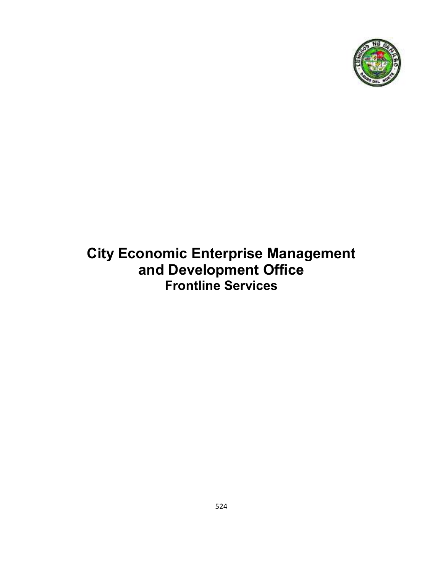

# **City Economic Enterprise Management and Development Office Frontline Services**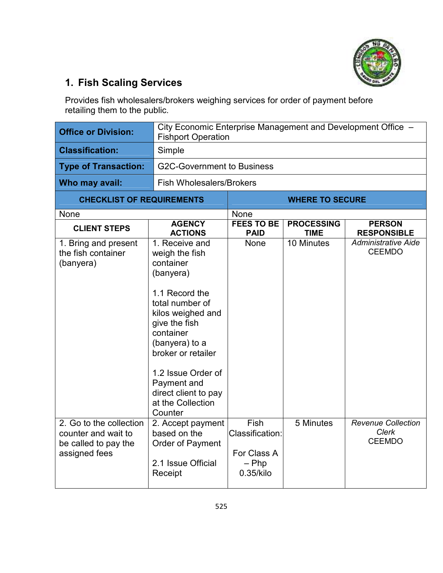

## **1. Fish Scaling Services**

Provides fish wholesalers/brokers weighing services for order of payment before retailing them to the public.

| <b>Office or Division:</b>                                                              | City Economic Enterprise Management and Development Office -<br><b>Fishport Operation</b>                                                                                                                                                                                               |                                                                |                                  |                                                            |  |  |
|-----------------------------------------------------------------------------------------|-----------------------------------------------------------------------------------------------------------------------------------------------------------------------------------------------------------------------------------------------------------------------------------------|----------------------------------------------------------------|----------------------------------|------------------------------------------------------------|--|--|
| <b>Classification:</b>                                                                  | Simple                                                                                                                                                                                                                                                                                  |                                                                |                                  |                                                            |  |  |
| <b>Type of Transaction:</b>                                                             | <b>G2C-Government to Business</b>                                                                                                                                                                                                                                                       |                                                                |                                  |                                                            |  |  |
| Who may avail:                                                                          | <b>Fish Wholesalers/Brokers</b>                                                                                                                                                                                                                                                         |                                                                |                                  |                                                            |  |  |
| <b>CHECKLIST OF REQUIREMENTS</b>                                                        |                                                                                                                                                                                                                                                                                         |                                                                | <b>WHERE TO SECURE</b>           |                                                            |  |  |
| None                                                                                    |                                                                                                                                                                                                                                                                                         | None                                                           |                                  |                                                            |  |  |
| <b>CLIENT STEPS</b>                                                                     | <b>AGENCY</b><br><b>ACTIONS</b>                                                                                                                                                                                                                                                         | <b>FEES TO BE</b><br><b>PAID</b>                               | <b>PROCESSING</b><br><b>TIME</b> | <b>PERSON</b><br><b>RESPONSIBLE</b>                        |  |  |
| 1. Bring and present<br>the fish container<br>(banyera)                                 | 1. Receive and<br>weigh the fish<br>container<br>(banyera)<br>1.1 Record the<br>total number of<br>kilos weighed and<br>give the fish<br>container<br>(banyera) to a<br>broker or retailer<br>1.2 Issue Order of<br>Payment and<br>direct client to pay<br>at the Collection<br>Counter | None                                                           | 10 Minutes                       | <b>Administrative Aide</b><br><b>CEEMDO</b>                |  |  |
| 2. Go to the collection<br>counter and wait to<br>be called to pay the<br>assigned fees | 2. Accept payment<br>based on the<br>Order of Payment<br>2.1 Issue Official<br>Receipt                                                                                                                                                                                                  | Fish<br>Classification:<br>For Class A<br>$-$ Php<br>0.35/kilo | 5 Minutes                        | <b>Revenue Collection</b><br><b>Clerk</b><br><b>CEEMDO</b> |  |  |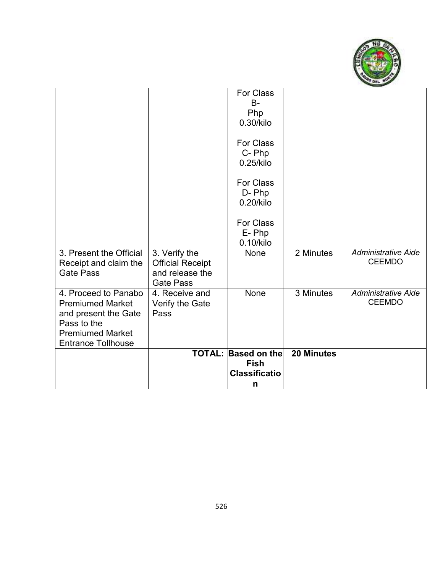

|                                                                         |                                                                                 | <b>TOTAL: Based on the</b><br><b>Fish</b> | <b>20 Minutes</b> |                                             |
|-------------------------------------------------------------------------|---------------------------------------------------------------------------------|-------------------------------------------|-------------------|---------------------------------------------|
| Pass to the<br><b>Premiumed Market</b><br><b>Entrance Tollhouse</b>     |                                                                                 |                                           |                   |                                             |
| 4. Proceed to Panabo<br><b>Premiumed Market</b><br>and present the Gate | 4. Receive and<br>Verify the Gate<br>Pass                                       | None                                      | 3 Minutes         | <b>Administrative Aide</b><br><b>CEEMDO</b> |
| 3. Present the Official<br>Receipt and claim the<br><b>Gate Pass</b>    | 3. Verify the<br><b>Official Receipt</b><br>and release the<br><b>Gate Pass</b> | None                                      | 2 Minutes         | <b>Administrative Aide</b><br><b>CEEMDO</b> |
|                                                                         |                                                                                 | <b>For Class</b><br>E-Php<br>0.10/kilo    |                   |                                             |
|                                                                         |                                                                                 | <b>For Class</b><br>D-Php<br>0.20/kilo    |                   |                                             |
|                                                                         |                                                                                 | <b>For Class</b><br>C-Php<br>0.25/kilo    |                   |                                             |
|                                                                         |                                                                                 | For Class<br>$B -$<br>Php<br>0.30/kilo    |                   |                                             |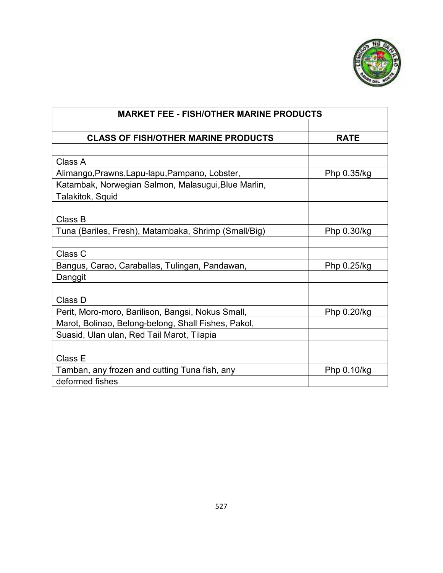

| <b>MARKET FEE - FISH/OTHER MARINE PRODUCTS</b>       |             |  |  |
|------------------------------------------------------|-------------|--|--|
|                                                      |             |  |  |
| <b>CLASS OF FISH/OTHER MARINE PRODUCTS</b>           | <b>RATE</b> |  |  |
|                                                      |             |  |  |
| Class A                                              |             |  |  |
| Alimango, Prawns, Lapu-lapu, Pampano, Lobster,       | Php 0.35/kg |  |  |
| Katambak, Norwegian Salmon, Malasugui, Blue Marlin,  |             |  |  |
| Talakitok, Squid                                     |             |  |  |
|                                                      |             |  |  |
| Class B                                              |             |  |  |
| Tuna (Bariles, Fresh), Matambaka, Shrimp (Small/Big) | Php 0.30/kg |  |  |
|                                                      |             |  |  |
| Class C                                              |             |  |  |
| Bangus, Carao, Caraballas, Tulingan, Pandawan,       | Php 0.25/kg |  |  |
| Danggit                                              |             |  |  |
|                                                      |             |  |  |
| Class D                                              |             |  |  |
| Perit, Moro-moro, Barilison, Bangsi, Nokus Small,    | Php 0.20/kg |  |  |
| Marot, Bolinao, Belong-belong, Shall Fishes, Pakol,  |             |  |  |
| Suasid, Ulan ulan, Red Tail Marot, Tilapia           |             |  |  |
|                                                      |             |  |  |
| Class E                                              |             |  |  |
| Tamban, any frozen and cutting Tuna fish, any        | Php 0.10/kg |  |  |
| deformed fishes                                      |             |  |  |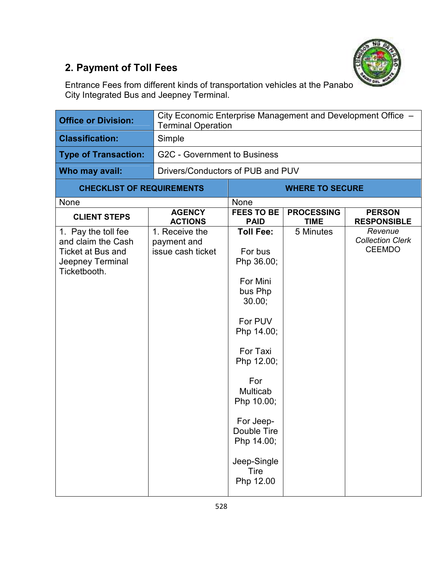

## **2. Payment of Toll Fees**

Entrance Fees from different kinds of transportation vehicles at the Panabo City Integrated Bus and Jeepney Terminal.

| <b>Office or Division:</b>                                                                                |                                                    | City Economic Enterprise Management and Development Office -<br><b>Terminal Operation</b>                                                                                                                                                    |                                  |                                                     |  |
|-----------------------------------------------------------------------------------------------------------|----------------------------------------------------|----------------------------------------------------------------------------------------------------------------------------------------------------------------------------------------------------------------------------------------------|----------------------------------|-----------------------------------------------------|--|
| <b>Classification:</b>                                                                                    | Simple                                             |                                                                                                                                                                                                                                              |                                  |                                                     |  |
| <b>Type of Transaction:</b>                                                                               | <b>G2C - Government to Business</b>                |                                                                                                                                                                                                                                              |                                  |                                                     |  |
| Who may avail:                                                                                            | Drivers/Conductors of PUB and PUV                  |                                                                                                                                                                                                                                              |                                  |                                                     |  |
| <b>CHECKLIST OF REQUIREMENTS</b>                                                                          |                                                    |                                                                                                                                                                                                                                              | <b>WHERE TO SECURE</b>           |                                                     |  |
| None                                                                                                      |                                                    | None                                                                                                                                                                                                                                         |                                  |                                                     |  |
| <b>CLIENT STEPS</b>                                                                                       | <b>AGENCY</b><br><b>ACTIONS</b>                    | <b>FEES TO BE</b><br><b>PAID</b>                                                                                                                                                                                                             | <b>PROCESSING</b><br><b>TIME</b> | <b>PERSON</b><br><b>RESPONSIBLE</b>                 |  |
| 1. Pay the toll fee<br>and claim the Cash<br><b>Ticket at Bus and</b><br>Jeepney Terminal<br>Ticketbooth. | 1. Receive the<br>payment and<br>issue cash ticket | <b>Toll Fee:</b><br>For bus<br>Php 36.00;<br>For Mini<br>bus Php<br>30.00;<br>For PUV<br>Php 14.00;<br>For Taxi<br>Php 12.00;<br>For<br>Multicab<br>Php 10.00;<br>For Jeep-<br>Double Tire<br>Php 14.00;<br>Jeep-Single<br>Tire<br>Php 12.00 | 5 Minutes                        | Revenue<br><b>Collection Clerk</b><br><b>CEEMDO</b> |  |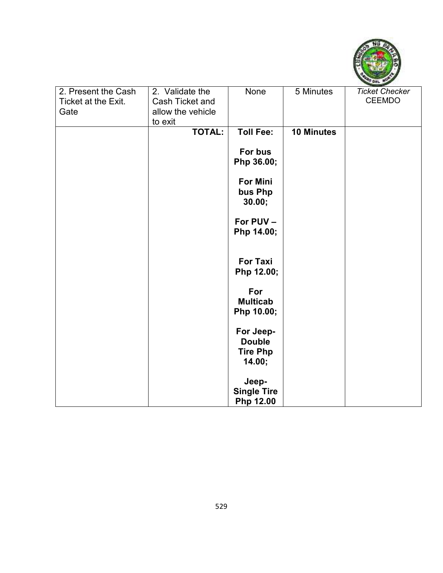

| 2. Present the Cash | 2. Validate the   | None               | 5 Minutes  | <b>Ticket Checker</b> |
|---------------------|-------------------|--------------------|------------|-----------------------|
| Ticket at the Exit. | Cash Ticket and   |                    |            | <b>CEEMDO</b>         |
| Gate                | allow the vehicle |                    |            |                       |
|                     | to exit           |                    |            |                       |
|                     | <b>TOTAL:</b>     | <b>Toll Fee:</b>   | 10 Minutes |                       |
|                     |                   |                    |            |                       |
|                     |                   | For bus            |            |                       |
|                     |                   | Php 36.00;         |            |                       |
|                     |                   |                    |            |                       |
|                     |                   | <b>For Mini</b>    |            |                       |
|                     |                   | bus Php            |            |                       |
|                     |                   | 30.00;             |            |                       |
|                     |                   | For PUV -          |            |                       |
|                     |                   | Php 14.00;         |            |                       |
|                     |                   |                    |            |                       |
|                     |                   |                    |            |                       |
|                     |                   | For Taxi           |            |                       |
|                     |                   | Php 12.00;         |            |                       |
|                     |                   |                    |            |                       |
|                     |                   | For                |            |                       |
|                     |                   | <b>Multicab</b>    |            |                       |
|                     |                   | Php 10.00;         |            |                       |
|                     |                   | For Jeep-          |            |                       |
|                     |                   | <b>Double</b>      |            |                       |
|                     |                   | <b>Tire Php</b>    |            |                       |
|                     |                   | 14.00;             |            |                       |
|                     |                   |                    |            |                       |
|                     |                   | Jeep-              |            |                       |
|                     |                   | <b>Single Tire</b> |            |                       |
|                     |                   | Php 12.00          |            |                       |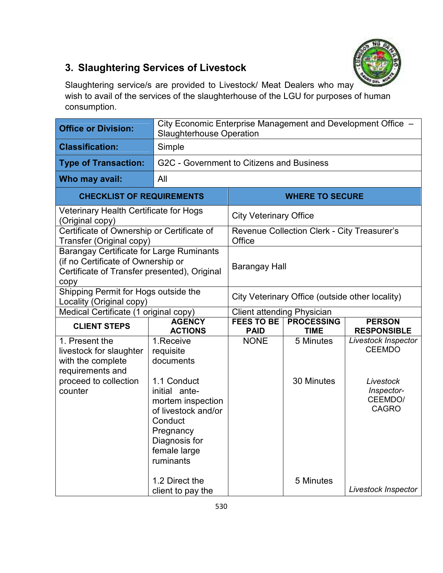

## **3. Slaughtering Services of Livestock**

Slaughtering service/s are provided to Livestock/ Meat Dealers who may wish to avail of the services of the slaughterhouse of the LGU for purposes of human consumption.

| <b>Office or Division:</b>                                                                                                                    |                                                                                                                                                | City Economic Enterprise Management and Development Office -<br><b>Slaughterhouse Operation</b> |                                             |                                                    |  |  |
|-----------------------------------------------------------------------------------------------------------------------------------------------|------------------------------------------------------------------------------------------------------------------------------------------------|-------------------------------------------------------------------------------------------------|---------------------------------------------|----------------------------------------------------|--|--|
| <b>Classification:</b>                                                                                                                        | Simple                                                                                                                                         |                                                                                                 |                                             |                                                    |  |  |
| <b>Type of Transaction:</b>                                                                                                                   |                                                                                                                                                | G2C - Government to Citizens and Business                                                       |                                             |                                                    |  |  |
| Who may avail:                                                                                                                                | All                                                                                                                                            |                                                                                                 |                                             |                                                    |  |  |
| <b>CHECKLIST OF REQUIREMENTS</b>                                                                                                              | <b>WHERE TO SECURE</b>                                                                                                                         |                                                                                                 |                                             |                                                    |  |  |
| Veterinary Health Certificate for Hogs<br>(Original copy)                                                                                     |                                                                                                                                                | <b>City Veterinary Office</b>                                                                   |                                             |                                                    |  |  |
| Certificate of Ownership or Certificate of<br>Transfer (Original copy)                                                                        |                                                                                                                                                | Office                                                                                          | Revenue Collection Clerk - City Treasurer's |                                                    |  |  |
| <b>Barangay Certificate for Large Ruminants</b><br>(if no Certificate of Ownership or<br>Certificate of Transfer presented), Original<br>copy |                                                                                                                                                |                                                                                                 | <b>Barangay Hall</b>                        |                                                    |  |  |
| Shipping Permit for Hogs outside the<br>Locality (Original copy)                                                                              |                                                                                                                                                | City Veterinary Office (outside other locality)                                                 |                                             |                                                    |  |  |
| Medical Certificate (1 original copy)                                                                                                         |                                                                                                                                                | <b>Client attending Physician</b>                                                               |                                             |                                                    |  |  |
| <b>CLIENT STEPS</b>                                                                                                                           | <b>AGENCY</b><br><b>ACTIONS</b>                                                                                                                | <b>FEES TO BE</b><br><b>PAID</b>                                                                | <b>PROCESSING</b><br><b>TIME</b>            | <b>PERSON</b><br><b>RESPONSIBLE</b>                |  |  |
| 1. Present the<br>livestock for slaughter<br>with the complete<br>requirements and                                                            | 1. Receive<br>requisite<br>documents                                                                                                           | <b>NONE</b>                                                                                     | 5 Minutes                                   | Livestock Inspector<br><b>CEEMDO</b>               |  |  |
| proceed to collection<br>counter                                                                                                              | 1.1 Conduct<br>initial ante-<br>mortem inspection<br>of livestock and/or<br>Conduct<br>Pregnancy<br>Diagnosis for<br>female large<br>ruminants |                                                                                                 | 30 Minutes                                  | Livestock<br>Inspector-<br>CEEMDO/<br><b>CAGRO</b> |  |  |
|                                                                                                                                               | 1.2 Direct the<br>client to pay the                                                                                                            |                                                                                                 | 5 Minutes                                   | Livestock Inspector                                |  |  |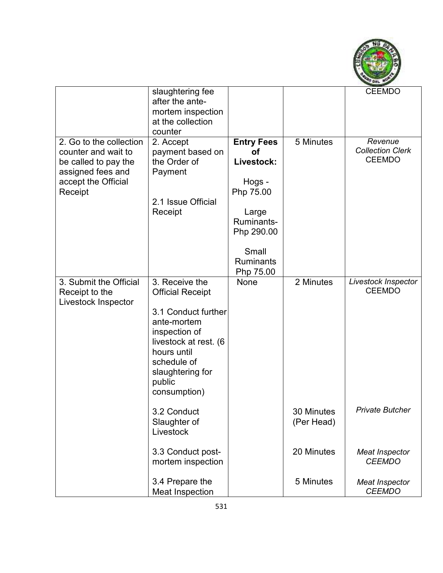

|                                                                                                                               | slaughtering fee<br>after the ante-<br>mortem inspection<br>at the collection<br>counter                                                                                                              |                                                                                                                                             |                          | <b>CEEMDO</b>                                       |
|-------------------------------------------------------------------------------------------------------------------------------|-------------------------------------------------------------------------------------------------------------------------------------------------------------------------------------------------------|---------------------------------------------------------------------------------------------------------------------------------------------|--------------------------|-----------------------------------------------------|
| 2. Go to the collection<br>counter and wait to<br>be called to pay the<br>assigned fees and<br>accept the Official<br>Receipt | 2. Accept<br>payment based on<br>the Order of<br>Payment<br>2.1 Issue Official<br>Receipt                                                                                                             | <b>Entry Fees</b><br>Οf<br>Livestock:<br>Hogs -<br>Php 75.00<br>Large<br>Ruminants-<br>Php 290.00<br>Small<br><b>Ruminants</b><br>Php 75.00 | 5 Minutes                | Revenue<br><b>Collection Clerk</b><br><b>CEEMDO</b> |
| 3. Submit the Official<br>Receipt to the<br>Livestock Inspector                                                               | 3. Receive the<br><b>Official Receipt</b><br>3.1 Conduct further<br>ante-mortem<br>inspection of<br>livestock at rest. (6<br>hours until<br>schedule of<br>slaughtering for<br>public<br>consumption) | None                                                                                                                                        | 2 Minutes                | Livestock Inspector<br><b>CEEMDO</b>                |
|                                                                                                                               | 3.2 Conduct<br>Slaughter of<br>Livestock                                                                                                                                                              |                                                                                                                                             | 30 Minutes<br>(Per Head) | Private Butcher                                     |
|                                                                                                                               | 3.3 Conduct post-<br>mortem inspection                                                                                                                                                                |                                                                                                                                             | 20 Minutes               | <b>Meat Inspector</b><br><b>CEEMDO</b>              |
|                                                                                                                               | 3.4 Prepare the<br><b>Meat Inspection</b>                                                                                                                                                             |                                                                                                                                             | 5 Minutes                | <b>Meat Inspector</b><br><b>CEEMDO</b>              |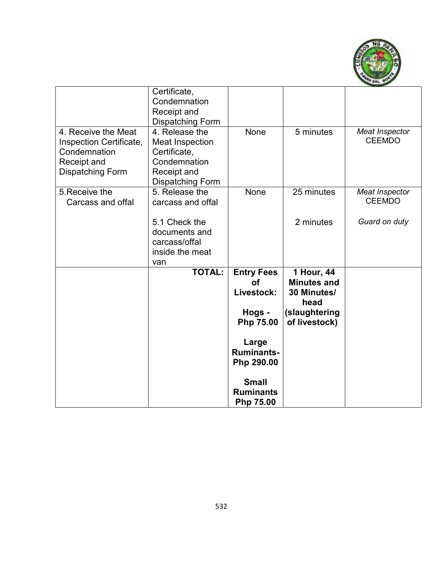

|                                                                                                   | Certificate,<br>Condemnation<br>Receipt and<br><b>Dispatching Form</b>                                             |                                                                     |                                                                                           |                                        |
|---------------------------------------------------------------------------------------------------|--------------------------------------------------------------------------------------------------------------------|---------------------------------------------------------------------|-------------------------------------------------------------------------------------------|----------------------------------------|
| 4. Receive the Meat<br>Inspection Certificate,<br>Condemnation<br>Receipt and<br>Dispatching Form | 4. Release the<br><b>Meat Inspection</b><br>Certificate,<br>Condemnation<br>Receipt and<br><b>Dispatching Form</b> | None                                                                | 5 minutes                                                                                 | <b>Meat Inspector</b><br><b>CEEMDO</b> |
| 5. Receive the<br>Carcass and offal                                                               | 5. Release the<br>carcass and offal                                                                                | None                                                                | 25 minutes                                                                                | Meat Inspector<br><b>CEEMDO</b>        |
|                                                                                                   | 5.1 Check the<br>documents and<br>carcass/offal<br>inside the meat<br>van                                          |                                                                     | 2 minutes                                                                                 | Guard on duty                          |
|                                                                                                   | <b>TOTAL:</b>                                                                                                      | <b>Entry Fees</b><br><b>of</b><br>Livestock:<br>Hogs -<br>Php 75.00 | 1 Hour, 44<br><b>Minutes and</b><br>30 Minutes/<br>head<br>(slaughtering<br>of livestock) |                                        |
|                                                                                                   |                                                                                                                    | Large<br><b>Ruminants-</b><br>Php 290.00                            |                                                                                           |                                        |
|                                                                                                   |                                                                                                                    | <b>Small</b><br><b>Ruminants</b><br>Php 75.00                       |                                                                                           |                                        |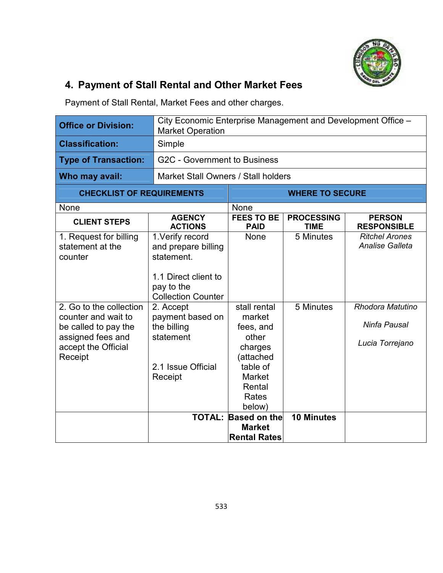

## **4. Payment of Stall Rental and Other Market Fees**

Payment of Stall Rental, Market Fees and other charges.

| <b>Office or Division:</b>                                                                                                    | <b>Market Operation</b>                                                                                                  | City Economic Enterprise Management and Development Office -                                                                   |                                  |                                                     |  |
|-------------------------------------------------------------------------------------------------------------------------------|--------------------------------------------------------------------------------------------------------------------------|--------------------------------------------------------------------------------------------------------------------------------|----------------------------------|-----------------------------------------------------|--|
| <b>Classification:</b>                                                                                                        | Simple                                                                                                                   |                                                                                                                                |                                  |                                                     |  |
| <b>Type of Transaction:</b>                                                                                                   | <b>G2C - Government to Business</b>                                                                                      |                                                                                                                                |                                  |                                                     |  |
| Who may avail:                                                                                                                | Market Stall Owners / Stall holders                                                                                      |                                                                                                                                |                                  |                                                     |  |
| <b>CHECKLIST OF REQUIREMENTS</b>                                                                                              |                                                                                                                          |                                                                                                                                | <b>WHERE TO SECURE</b>           |                                                     |  |
| None                                                                                                                          |                                                                                                                          | None                                                                                                                           |                                  |                                                     |  |
| <b>CLIENT STEPS</b>                                                                                                           | <b>AGENCY</b><br><b>ACTIONS</b>                                                                                          | <b>FEES TO BE</b><br><b>PAID</b>                                                                                               | <b>PROCESSING</b><br><b>TIME</b> | <b>PERSON</b><br><b>RESPONSIBLE</b>                 |  |
| 1. Request for billing<br>statement at the<br>counter                                                                         | 1. Verify record<br>and prepare billing<br>statement.<br>1.1 Direct client to<br>pay to the<br><b>Collection Counter</b> | <b>None</b>                                                                                                                    | 5 Minutes                        | <b>Ritchel Arones</b><br><b>Analise Galleta</b>     |  |
| 2. Go to the collection<br>counter and wait to<br>be called to pay the<br>assigned fees and<br>accept the Official<br>Receipt | 2. Accept<br>payment based on<br>the billing<br>statement<br>2.1 Issue Official<br>Receipt                               | stall rental<br>market<br>fees, and<br>other<br>charges<br>(attached<br>table of<br><b>Market</b><br>Rental<br>Rates<br>below) | 5 Minutes                        | Rhodora Matutino<br>Ninfa Pausal<br>Lucia Torrejano |  |
|                                                                                                                               |                                                                                                                          | <b>TOTAL: Based on the</b><br><b>Market</b><br><b>Rental Rates</b>                                                             | <b>10 Minutes</b>                |                                                     |  |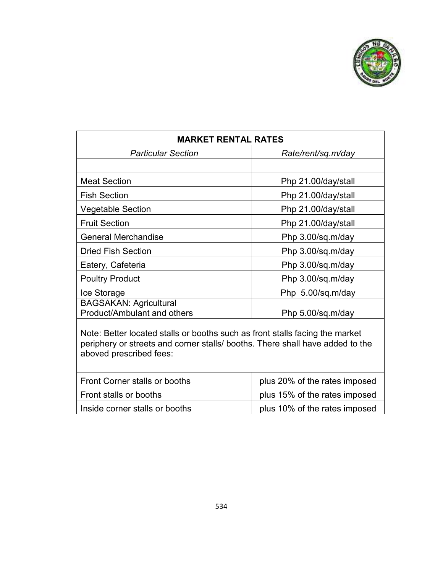

| <b>MARKET RENTAL RATES</b>                                                                                                                                                               |                               |  |  |  |  |
|------------------------------------------------------------------------------------------------------------------------------------------------------------------------------------------|-------------------------------|--|--|--|--|
| <b>Particular Section</b>                                                                                                                                                                | Rate/rent/sq.m/day            |  |  |  |  |
|                                                                                                                                                                                          |                               |  |  |  |  |
| <b>Meat Section</b>                                                                                                                                                                      | Php 21.00/day/stall           |  |  |  |  |
| <b>Fish Section</b>                                                                                                                                                                      | Php 21.00/day/stall           |  |  |  |  |
| Vegetable Section                                                                                                                                                                        | Php 21.00/day/stall           |  |  |  |  |
| <b>Fruit Section</b>                                                                                                                                                                     | Php 21.00/day/stall           |  |  |  |  |
| <b>General Merchandise</b>                                                                                                                                                               | Php 3.00/sq.m/day             |  |  |  |  |
| <b>Dried Fish Section</b>                                                                                                                                                                | Php 3.00/sq.m/day             |  |  |  |  |
| Eatery, Cafeteria                                                                                                                                                                        | Php 3.00/sq.m/day             |  |  |  |  |
| <b>Poultry Product</b>                                                                                                                                                                   | Php 3.00/sq.m/day             |  |  |  |  |
| Ice Storage                                                                                                                                                                              | Php 5.00/sq.m/day             |  |  |  |  |
| <b>BAGSAKAN: Agricultural</b><br><b>Product/Ambulant and others</b>                                                                                                                      | Php 5.00/sq.m/day             |  |  |  |  |
| Note: Better located stalls or booths such as front stalls facing the market<br>periphery or streets and corner stalls/ booths. There shall have added to the<br>aboved prescribed fees: |                               |  |  |  |  |
| <b>Front Corner stalls or booths</b>                                                                                                                                                     | plus 20% of the rates imposed |  |  |  |  |

| Front stalls or booths         | plus 15% of the rates imposed |
|--------------------------------|-------------------------------|
| Inside corner stalls or booths | plus 10% of the rates imposed |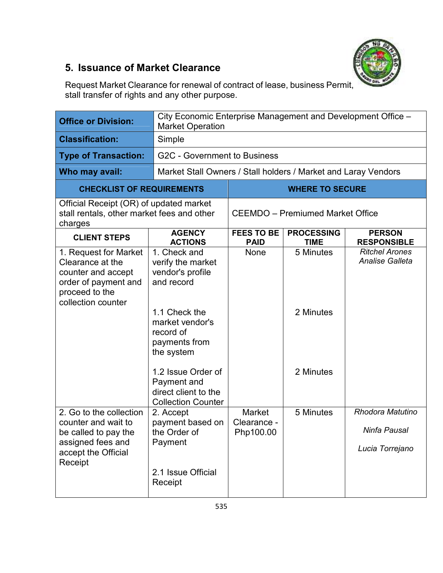

### **5. Issuance of Market Clearance**

Request Market Clearance for renewal of contract of lease, business Permit, stall transfer of rights and any other purpose.

| <b>Office or Division:</b>                                                                                                      | <b>Market Operation</b>                                                                                                                                                                                                                       | City Economic Enterprise Management and Development Office - |                                     |                                                     |  |  |
|---------------------------------------------------------------------------------------------------------------------------------|-----------------------------------------------------------------------------------------------------------------------------------------------------------------------------------------------------------------------------------------------|--------------------------------------------------------------|-------------------------------------|-----------------------------------------------------|--|--|
| <b>Classification:</b>                                                                                                          | Simple                                                                                                                                                                                                                                        |                                                              |                                     |                                                     |  |  |
| <b>Type of Transaction:</b>                                                                                                     | G2C - Government to Business                                                                                                                                                                                                                  |                                                              |                                     |                                                     |  |  |
| Who may avail:                                                                                                                  | Market Stall Owners / Stall holders / Market and Laray Vendors                                                                                                                                                                                |                                                              |                                     |                                                     |  |  |
| <b>CHECKLIST OF REQUIREMENTS</b>                                                                                                |                                                                                                                                                                                                                                               |                                                              | <b>WHERE TO SECURE</b>              |                                                     |  |  |
| Official Receipt (OR) of updated market<br>stall rentals, other market fees and other<br>charges                                |                                                                                                                                                                                                                                               | <b>CEEMDO</b> - Premiumed Market Office                      |                                     |                                                     |  |  |
| <b>CLIENT STEPS</b>                                                                                                             | <b>AGENCY</b><br><b>ACTIONS</b>                                                                                                                                                                                                               | <b>FEES TO BE</b><br><b>PAID</b>                             | <b>PROCESSING</b><br><b>TIME</b>    | <b>PERSON</b><br><b>RESPONSIBLE</b>                 |  |  |
| 1. Request for Market<br>Clearance at the<br>counter and accept<br>order of payment and<br>proceed to the<br>collection counter | 1. Check and<br>verify the market<br>vendor's profile<br>and record<br>1.1 Check the<br>market vendor's<br>record of<br>payments from<br>the system<br>1.2 Issue Order of<br>Payment and<br>direct client to the<br><b>Collection Counter</b> | <b>None</b>                                                  | 5 Minutes<br>2 Minutes<br>2 Minutes | <b>Ritchel Arones</b><br>Analise Galleta            |  |  |
| 2. Go to the collection<br>counter and wait to<br>be called to pay the<br>assigned fees and<br>accept the Official<br>Receipt   | 2. Accept<br>payment based on<br>the Order of<br>Payment<br>2.1 Issue Official<br>Receipt                                                                                                                                                     | Market<br>Clearance -<br>Php100.00                           | 5 Minutes                           | Rhodora Matutino<br>Ninfa Pausal<br>Lucia Torrejano |  |  |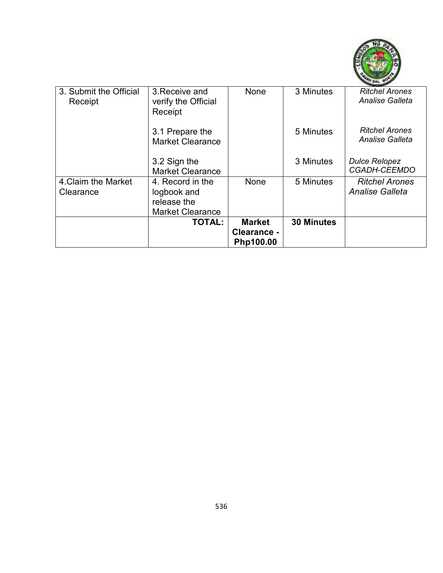

| 3. Submit the Official<br>Receipt | 3. Receive and<br>verify the Official<br>Receipt                          | None                                      | 3 Minutes         | <b>Ritchel Arones</b><br><b>Analise Galleta</b> |
|-----------------------------------|---------------------------------------------------------------------------|-------------------------------------------|-------------------|-------------------------------------------------|
|                                   | 3.1 Prepare the<br><b>Market Clearance</b>                                |                                           | 5 Minutes         | <b>Ritchel Arones</b><br><b>Analise Galleta</b> |
|                                   | 3.2 Sign the<br><b>Market Clearance</b>                                   |                                           | 3 Minutes         | <b>Dulce Relopez</b><br><b>CGADH-CEEMDO</b>     |
| 4. Claim the Market<br>Clearance  | 4. Record in the<br>logbook and<br>release the<br><b>Market Clearance</b> | None                                      | 5 Minutes         | <b>Ritchel Arones</b><br>Analise Galleta        |
|                                   | <b>TOTAL:</b>                                                             | <b>Market</b><br>Clearance -<br>Php100.00 | <b>30 Minutes</b> |                                                 |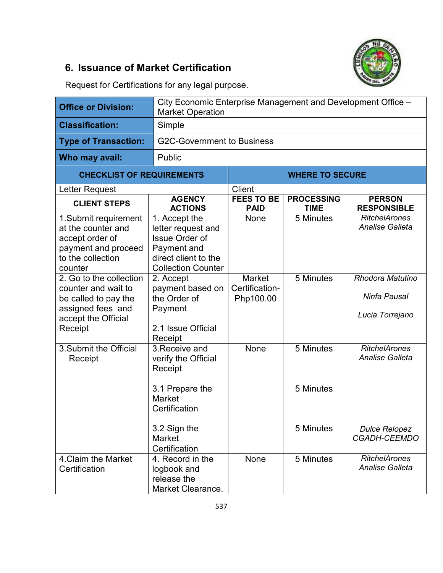### **6. Issuance of Market Certification**



Request for Certifications for any legal purpose.

| <b>Office or Division:</b>                                                                                                    | City Economic Enterprise Management and Development Office -<br><b>Market Operation</b>                                          |                                              |                                  |                                                     |  |
|-------------------------------------------------------------------------------------------------------------------------------|----------------------------------------------------------------------------------------------------------------------------------|----------------------------------------------|----------------------------------|-----------------------------------------------------|--|
| <b>Classification:</b>                                                                                                        | Simple                                                                                                                           |                                              |                                  |                                                     |  |
| <b>Type of Transaction:</b>                                                                                                   |                                                                                                                                  | <b>G2C-Government to Business</b>            |                                  |                                                     |  |
| Who may avail:                                                                                                                | Public                                                                                                                           |                                              |                                  |                                                     |  |
| <b>CHECKLIST OF REQUIREMENTS</b>                                                                                              |                                                                                                                                  |                                              | <b>WHERE TO SECURE</b>           |                                                     |  |
| Letter Request                                                                                                                |                                                                                                                                  | <b>Client</b>                                |                                  |                                                     |  |
| <b>CLIENT STEPS</b>                                                                                                           | <b>AGENCY</b><br><b>ACTIONS</b>                                                                                                  | <b>FEES TO BE</b><br><b>PAID</b>             | <b>PROCESSING</b><br><b>TIME</b> | <b>PERSON</b><br><b>RESPONSIBLE</b>                 |  |
| 1. Submit requirement<br>at the counter and<br>accept order of<br>payment and proceed<br>to the collection<br>counter         | 1. Accept the<br>letter request and<br><b>Issue Order of</b><br>Payment and<br>direct client to the<br><b>Collection Counter</b> | <b>None</b>                                  | 5 Minutes                        | <b>RitchelArones</b><br><b>Analise Galleta</b>      |  |
| 2. Go to the collection<br>counter and wait to<br>be called to pay the<br>assigned fees and<br>accept the Official<br>Receipt | 2. Accept<br>payment based on<br>the Order of<br>Payment<br>2.1 Issue Official<br>Receipt                                        | <b>Market</b><br>Certification-<br>Php100.00 | 5 Minutes                        | Rhodora Matutino<br>Ninfa Pausal<br>Lucia Torrejano |  |
| 3. Submit the Official<br>Receipt                                                                                             | 3. Receive and<br>verify the Official<br>Receipt<br>3.1 Prepare the<br><b>Market</b><br>Certification                            | <b>None</b>                                  | 5 Minutes<br>5 Minutes           | <b>RitchelArones</b><br><b>Analise Galleta</b>      |  |
|                                                                                                                               | 3.2 Sign the<br>Market<br>Certification                                                                                          |                                              | 5 Minutes                        | <b>Dulce Relopez</b><br><b>CGADH-CEEMDO</b>         |  |
| 4. Claim the Market<br>Certification                                                                                          | 4. Record in the<br>logbook and<br>release the<br>Market Clearance.                                                              | None                                         | 5 Minutes                        | <b>RitchelArones</b><br><b>Analise Galleta</b>      |  |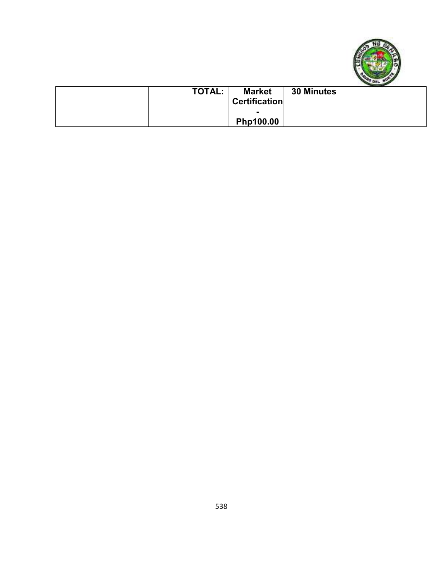

| <b>TOTAL:</b> | <b>Market</b><br><b>Certification</b> | 30 Minutes |  |
|---------------|---------------------------------------|------------|--|
|               | Php100.00                             |            |  |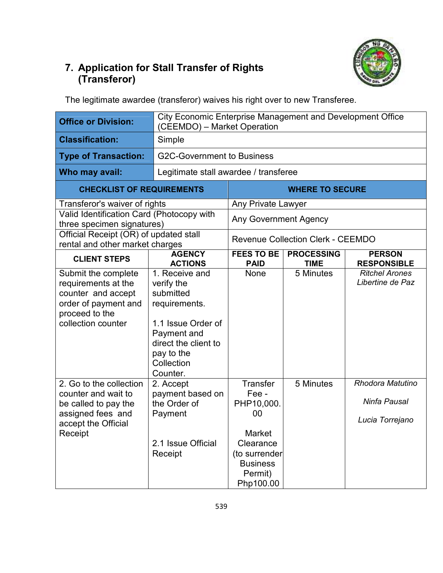

### **7. Application for Stall Transfer of Rights (Transferor)**

The legitimate awardee (transferor) waives his right over to new Transferee.

| <b>Office or Division:</b>                                                                                                       | City Economic Enterprise Management and Development Office<br>(CEEMDO) - Market Operation                                                                       |                                                                                                                                 |                                          |                                                     |
|----------------------------------------------------------------------------------------------------------------------------------|-----------------------------------------------------------------------------------------------------------------------------------------------------------------|---------------------------------------------------------------------------------------------------------------------------------|------------------------------------------|-----------------------------------------------------|
| <b>Classification:</b>                                                                                                           | Simple                                                                                                                                                          |                                                                                                                                 |                                          |                                                     |
| <b>Type of Transaction:</b>                                                                                                      | <b>G2C-Government to Business</b>                                                                                                                               |                                                                                                                                 |                                          |                                                     |
| Who may avail:                                                                                                                   | Legitimate stall awardee / transferee                                                                                                                           |                                                                                                                                 |                                          |                                                     |
| <b>CHECKLIST OF REQUIREMENTS</b>                                                                                                 |                                                                                                                                                                 |                                                                                                                                 | <b>WHERE TO SECURE</b>                   |                                                     |
| Transferor's waiver of rights                                                                                                    |                                                                                                                                                                 | Any Private Lawyer                                                                                                              |                                          |                                                     |
| Valid Identification Card (Photocopy with<br>three specimen signatures)                                                          |                                                                                                                                                                 | <b>Any Government Agency</b>                                                                                                    |                                          |                                                     |
| Official Receipt (OR) of updated stall<br>rental and other market charges                                                        |                                                                                                                                                                 |                                                                                                                                 | <b>Revenue Collection Clerk - CEEMDO</b> |                                                     |
| <b>CLIENT STEPS</b>                                                                                                              | <b>AGENCY</b><br><b>ACTIONS</b>                                                                                                                                 | <b>FEES TO BE</b><br><b>PAID</b>                                                                                                | <b>PROCESSING</b><br><b>TIME</b>         | <b>PERSON</b><br><b>RESPONSIBLE</b>                 |
| Submit the complete<br>requirements at the<br>counter and accept<br>order of payment and<br>proceed to the<br>collection counter | 1. Receive and<br>verify the<br>submitted<br>requirements.<br>1.1 Issue Order of<br>Payment and<br>direct the client to<br>pay to the<br>Collection<br>Counter. | <b>None</b>                                                                                                                     | 5 Minutes                                | <b>Ritchel Arones</b><br>Libertine de Paz           |
| 2. Go to the collection<br>counter and wait to<br>be called to pay the<br>assigned fees and<br>accept the Official<br>Receipt    | 2. Accept<br>payment based on<br>the Order of<br>Payment<br>2.1 Issue Official<br>Receipt                                                                       | <b>Transfer</b><br>Fee -<br>PHP10,000.<br>00<br>Market<br>Clearance<br>(to surrender<br><b>Business</b><br>Permit)<br>Php100.00 | 5 Minutes                                | Rhodora Matutino<br>Ninfa Pausal<br>Lucia Torrejano |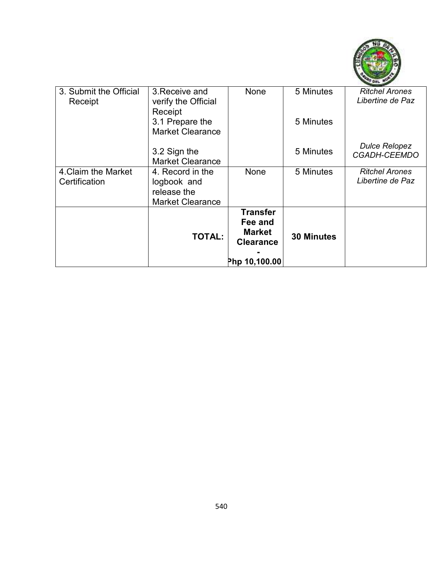

| 3. Submit the Official<br>Receipt | 3. Receive and<br>verify the Official<br>Receipt | None                                        | 5 Minutes         | <b>Ritchel Arones</b><br>Libertine de Paz   |
|-----------------------------------|--------------------------------------------------|---------------------------------------------|-------------------|---------------------------------------------|
|                                   | 3.1 Prepare the<br><b>Market Clearance</b>       |                                             | 5 Minutes         |                                             |
|                                   | 3.2 Sign the<br><b>Market Clearance</b>          |                                             | 5 Minutes         | <b>Dulce Relopez</b><br><b>CGADH-CEEMDO</b> |
| 4. Claim the Market               | 4. Record in the                                 | None                                        | 5 Minutes         | <b>Ritchel Arones</b>                       |
| Certification                     | logbook and                                      |                                             |                   | Libertine de Paz                            |
|                                   | release the                                      |                                             |                   |                                             |
|                                   | <b>Market Clearance</b>                          |                                             |                   |                                             |
|                                   | <b>TOTAL:</b>                                    | <b>Transfer</b><br>Fee and<br><b>Market</b> | <b>30 Minutes</b> |                                             |
|                                   |                                                  | <b>Clearance</b>                            |                   |                                             |
|                                   |                                                  | Php 10,100.00                               |                   |                                             |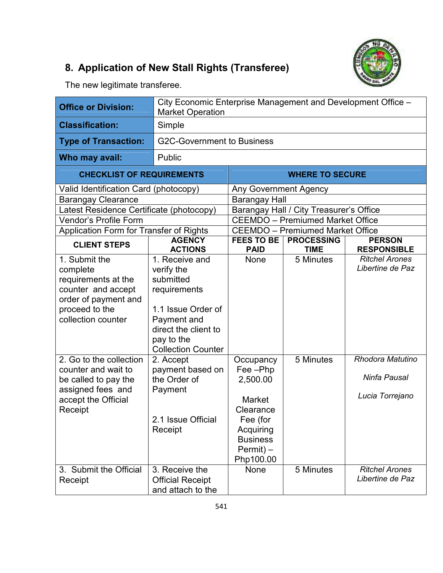## **8. Application of New Stall Rights (Transferee)**



The new legitimate transferee.

| <b>Office or Division:</b>                                                                                                             | <b>Market Operation</b>                                                                                                                                           | City Economic Enterprise Management and Development Office -                                                                            |                                         |                                                     |  |
|----------------------------------------------------------------------------------------------------------------------------------------|-------------------------------------------------------------------------------------------------------------------------------------------------------------------|-----------------------------------------------------------------------------------------------------------------------------------------|-----------------------------------------|-----------------------------------------------------|--|
| <b>Classification:</b>                                                                                                                 | Simple                                                                                                                                                            |                                                                                                                                         |                                         |                                                     |  |
| <b>Type of Transaction:</b>                                                                                                            | <b>G2C-Government to Business</b>                                                                                                                                 |                                                                                                                                         |                                         |                                                     |  |
| Who may avail:                                                                                                                         | Public                                                                                                                                                            |                                                                                                                                         |                                         |                                                     |  |
| <b>CHECKLIST OF REQUIREMENTS</b>                                                                                                       |                                                                                                                                                                   |                                                                                                                                         | <b>WHERE TO SECURE</b>                  |                                                     |  |
| Valid Identification Card (photocopy)                                                                                                  |                                                                                                                                                                   | <b>Any Government Agency</b>                                                                                                            |                                         |                                                     |  |
| <b>Barangay Clearance</b>                                                                                                              |                                                                                                                                                                   | <b>Barangay Hall</b>                                                                                                                    |                                         |                                                     |  |
| Latest Residence Certificate (photocopy)                                                                                               |                                                                                                                                                                   |                                                                                                                                         | Barangay Hall / City Treasurer's Office |                                                     |  |
| Vendor's Profile Form                                                                                                                  |                                                                                                                                                                   |                                                                                                                                         | <b>CEEMDO</b> - Premiumed Market Office |                                                     |  |
| Application Form for Transfer of Rights                                                                                                |                                                                                                                                                                   |                                                                                                                                         | <b>CEEMDO</b> – Premiumed Market Office |                                                     |  |
| <b>CLIENT STEPS</b>                                                                                                                    | <b>AGENCY</b><br><b>ACTIONS</b>                                                                                                                                   | <b>FEES TO BE</b><br><b>PAID</b>                                                                                                        | <b>PROCESSING</b><br><b>TIME</b>        | <b>PERSON</b><br><b>RESPONSIBLE</b>                 |  |
| 1. Submit the<br>complete<br>requirements at the<br>counter and accept<br>order of payment and<br>proceed to the<br>collection counter | 1. Receive and<br>verify the<br>submitted<br>requirements<br>1.1 Issue Order of<br>Payment and<br>direct the client to<br>pay to the<br><b>Collection Counter</b> | <b>None</b>                                                                                                                             | 5 Minutes                               | <b>Ritchel Arones</b><br>Libertine de Paz           |  |
| 2. Go to the collection<br>counter and wait to<br>be called to pay the<br>assigned fees and<br>accept the Official<br>Receipt          | 2. Accept<br>payment based on<br>the Order of<br>Payment<br>2.1 Issue Official<br>Receipt                                                                         | Occupancy<br>Fee-Php<br>2,500.00<br><b>Market</b><br>Clearance<br>Fee (for<br>Acquiring<br><b>Business</b><br>$Permit$ ) –<br>Php100.00 | 5 Minutes                               | Rhodora Matutino<br>Ninfa Pausal<br>Lucia Torrejano |  |
| 3. Submit the Official<br>Receipt                                                                                                      | 3. Receive the<br><b>Official Receipt</b><br>and attach to the                                                                                                    | None                                                                                                                                    | 5 Minutes                               | <b>Ritchel Arones</b><br>Libertine de Paz           |  |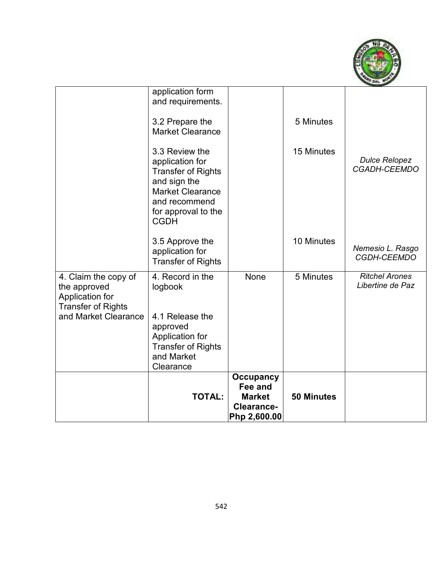

|                                                                      | <b>TOTAL:</b>                                                                                                                                                    | <b>Occupancy</b><br>Fee and<br><b>Market</b><br>Clearance-<br>Php 2,600.00 | <b>50 Minutes</b> |                                           |
|----------------------------------------------------------------------|------------------------------------------------------------------------------------------------------------------------------------------------------------------|----------------------------------------------------------------------------|-------------------|-------------------------------------------|
| Application for<br><b>Transfer of Rights</b><br>and Market Clearance | 4.1 Release the<br>approved<br>Application for<br><b>Transfer of Rights</b><br>and Market<br>Clearance                                                           |                                                                            |                   |                                           |
| 4. Claim the copy of<br>the approved                                 | 4. Record in the<br>logbook                                                                                                                                      | None                                                                       | 5 Minutes         | <b>Ritchel Arones</b><br>Libertine de Paz |
|                                                                      | 3.5 Approve the<br>application for<br><b>Transfer of Rights</b>                                                                                                  |                                                                            | 10 Minutes        | Nemesio L. Rasgo<br>CGDH-CEEMDO           |
|                                                                      | 3.3 Review the<br>application for<br><b>Transfer of Rights</b><br>and sign the<br><b>Market Clearance</b><br>and recommend<br>for approval to the<br><b>CGDH</b> |                                                                            | 15 Minutes        | <b>Dulce Relopez</b><br>CGADH-CEEMDO      |
|                                                                      | application form<br>and requirements.<br>3.2 Prepare the<br><b>Market Clearance</b>                                                                              |                                                                            | 5 Minutes         |                                           |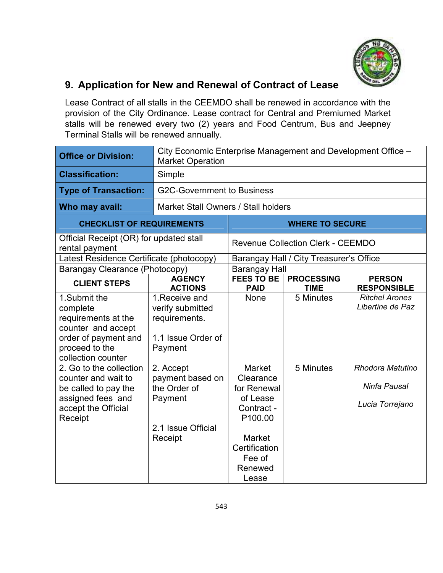

### **9. Application for New and Renewal of Contract of Lease**

Lease Contract of all stalls in the CEEMDO shall be renewed in accordance with the provision of the City Ordinance. Lease contract for Central and Premiumed Market stalls will be renewed every two (2) years and Food Centrum, Bus and Jeepney Terminal Stalls will be renewed annually.

| <b>Office or Division:</b>                                                                                                            | City Economic Enterprise Management and Development Office -<br><b>Market Operation</b>   |                                                                                                                                                            |                                          |                                                     |
|---------------------------------------------------------------------------------------------------------------------------------------|-------------------------------------------------------------------------------------------|------------------------------------------------------------------------------------------------------------------------------------------------------------|------------------------------------------|-----------------------------------------------------|
| <b>Classification:</b>                                                                                                                | Simple                                                                                    |                                                                                                                                                            |                                          |                                                     |
| <b>Type of Transaction:</b>                                                                                                           | <b>G2C-Government to Business</b>                                                         |                                                                                                                                                            |                                          |                                                     |
| Who may avail:                                                                                                                        |                                                                                           | Market Stall Owners / Stall holders                                                                                                                        |                                          |                                                     |
| <b>CHECKLIST OF REQUIREMENTS</b>                                                                                                      |                                                                                           |                                                                                                                                                            | <b>WHERE TO SECURE</b>                   |                                                     |
| Official Receipt (OR) for updated stall<br>rental payment                                                                             |                                                                                           |                                                                                                                                                            | <b>Revenue Collection Clerk - CEEMDO</b> |                                                     |
| Latest Residence Certificate (photocopy)                                                                                              |                                                                                           |                                                                                                                                                            | Barangay Hall / City Treasurer's Office  |                                                     |
| Barangay Clearance (Photocopy)                                                                                                        |                                                                                           | <b>Barangay Hall</b>                                                                                                                                       |                                          |                                                     |
| <b>CLIENT STEPS</b>                                                                                                                   | <b>AGENCY</b><br><b>ACTIONS</b>                                                           | <b>FEES TO BE</b><br><b>PAID</b>                                                                                                                           | <b>PROCESSING</b><br><b>TIME</b>         | <b>PERSON</b><br><b>RESPONSIBLE</b>                 |
| 1.Submit the<br>complete<br>requirements at the<br>counter and accept<br>order of payment and<br>proceed to the<br>collection counter | 1. Receive and<br>verify submitted<br>requirements.<br>1.1 Issue Order of<br>Payment      | None                                                                                                                                                       | 5 Minutes                                | <b>Ritchel Arones</b><br>Libertine de Paz           |
| 2. Go to the collection<br>counter and wait to<br>be called to pay the<br>assigned fees and<br>accept the Official<br>Receipt         | 2. Accept<br>payment based on<br>the Order of<br>Payment<br>2.1 Issue Official<br>Receipt | <b>Market</b><br>Clearance<br>for Renewal<br>of Lease<br>Contract -<br>P <sub>100.00</sub><br><b>Market</b><br>Certification<br>Fee of<br>Renewed<br>Lease | 5 Minutes                                | Rhodora Matutino<br>Ninfa Pausal<br>Lucia Torrejano |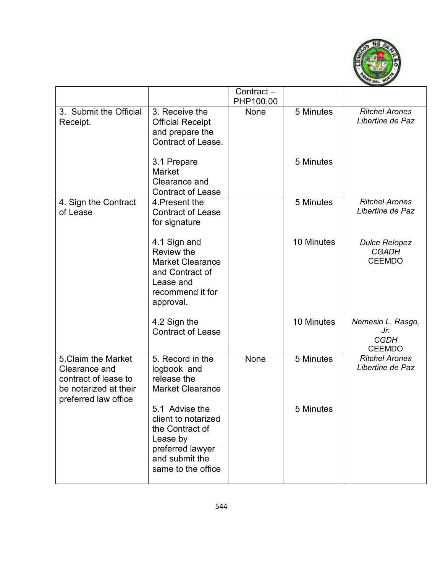

|                                                                                                               |                                                                                                                                  | Contract-<br>PHP100.00 |            |                                                          |
|---------------------------------------------------------------------------------------------------------------|----------------------------------------------------------------------------------------------------------------------------------|------------------------|------------|----------------------------------------------------------|
| 3. Submit the Official<br>Receipt.                                                                            | 3. Receive the<br><b>Official Receipt</b><br>and prepare the<br>Contract of Lease.                                               | None                   | 5 Minutes  | <b>Ritchel Arones</b><br>Libertine de Paz                |
|                                                                                                               | 3.1 Prepare<br><b>Market</b><br>Clearance and<br><b>Contract of Lease</b>                                                        |                        | 5 Minutes  |                                                          |
| 4. Sign the Contract<br>of Lease                                                                              | 4. Present the<br><b>Contract of Lease</b><br>for signature                                                                      |                        | 5 Minutes  | <b>Ritchel Arones</b><br>Libertine de Paz                |
|                                                                                                               | 4.1 Sign and<br>Review the<br><b>Market Clearance</b><br>and Contract of<br>Lease and<br>recommend it for<br>approval.           |                        | 10 Minutes | <b>Dulce Relopez</b><br><b>CGADH</b><br><b>CEEMDO</b>    |
|                                                                                                               | 4.2 Sign the<br><b>Contract of Lease</b>                                                                                         |                        | 10 Minutes | Nemesio L. Rasgo,<br>Jr.<br><b>CGDH</b><br><b>CEEMDO</b> |
| 5. Claim the Market<br>Clearance and<br>contract of lease to<br>be notarized at their<br>preferred law office | 5. Record in the<br>logbook and<br>release the<br><b>Market Clearance</b>                                                        | None                   | 5 Minutes  | <b>Ritchel Arones</b><br>Libertine de Paz                |
|                                                                                                               | 5.1 Advise the<br>client to notarized<br>the Contract of<br>Lease by<br>preferred lawyer<br>and submit the<br>same to the office |                        | 5 Minutes  |                                                          |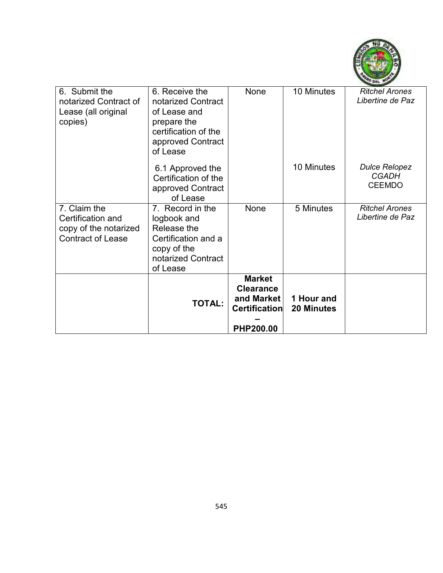

| 6. Submit the<br>notarized Contract of<br>Lease (all original<br>copies)               | 6. Receive the<br>notarized Contract<br>of Lease and<br>prepare the<br>certification of the<br>approved Contract<br>of Lease | None                                                                                 | 10 Minutes                      | <b>Ritchel Arones</b><br>Libertine de Paz             |
|----------------------------------------------------------------------------------------|------------------------------------------------------------------------------------------------------------------------------|--------------------------------------------------------------------------------------|---------------------------------|-------------------------------------------------------|
|                                                                                        | 6.1 Approved the<br>Certification of the<br>approved Contract<br>of Lease                                                    |                                                                                      | 10 Minutes                      | <b>Dulce Relopez</b><br><b>CGADH</b><br><b>CEEMDO</b> |
| 7. Claim the<br>Certification and<br>copy of the notarized<br><b>Contract of Lease</b> | 7. Record in the<br>logbook and<br>Release the<br>Certification and a<br>copy of the<br>notarized Contract<br>of Lease       | None                                                                                 | 5 Minutes                       | <b>Ritchel Arones</b><br>Libertine de Paz             |
|                                                                                        | <b>TOTAL:</b>                                                                                                                | <b>Market</b><br><b>Clearance</b><br>and Market<br>Certification<br><b>PHP200.00</b> | 1 Hour and<br><b>20 Minutes</b> |                                                       |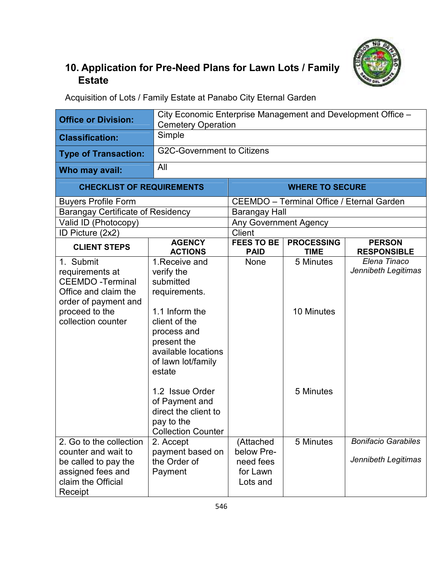

## **10. Application for Pre-Need Plans for Lawn Lots / Family Estate**

Acquisition of Lots / Family Estate at Panabo City Eternal Garden

| <b>Office or Division:</b>                                                                                                                      | City Economic Enterprise Management and Development Office -<br><b>Cemetery Operation</b>                                                                                                                                                                                                  |                                                              |                                                  |                                                   |
|-------------------------------------------------------------------------------------------------------------------------------------------------|--------------------------------------------------------------------------------------------------------------------------------------------------------------------------------------------------------------------------------------------------------------------------------------------|--------------------------------------------------------------|--------------------------------------------------|---------------------------------------------------|
| <b>Classification:</b>                                                                                                                          | Simple                                                                                                                                                                                                                                                                                     |                                                              |                                                  |                                                   |
| <b>Type of Transaction:</b>                                                                                                                     | <b>G2C-Government to Citizens</b>                                                                                                                                                                                                                                                          |                                                              |                                                  |                                                   |
| Who may avail:                                                                                                                                  | All                                                                                                                                                                                                                                                                                        |                                                              |                                                  |                                                   |
| <b>CHECKLIST OF REQUIREMENTS</b>                                                                                                                |                                                                                                                                                                                                                                                                                            |                                                              | <b>WHERE TO SECURE</b>                           |                                                   |
| <b>Buyers Profile Form</b>                                                                                                                      |                                                                                                                                                                                                                                                                                            |                                                              | <b>CEEMDO</b> - Terminal Office / Eternal Garden |                                                   |
| <b>Barangay Certificate of Residency</b>                                                                                                        |                                                                                                                                                                                                                                                                                            | Barangay Hall                                                |                                                  |                                                   |
| Valid ID (Photocopy)                                                                                                                            |                                                                                                                                                                                                                                                                                            | <b>Any Government Agency</b>                                 |                                                  |                                                   |
| ID Picture (2x2)                                                                                                                                |                                                                                                                                                                                                                                                                                            | <b>Client</b>                                                |                                                  |                                                   |
| <b>CLIENT STEPS</b>                                                                                                                             | <b>AGENCY</b><br><b>ACTIONS</b>                                                                                                                                                                                                                                                            | <b>FEES TO BE</b><br><b>PAID</b>                             | <b>PROCESSING</b><br><b>TIME</b>                 | <b>PERSON</b><br><b>RESPONSIBLE</b>               |
| 1. Submit<br>requirements at<br><b>CEEMDO -Terminal</b><br>Office and claim the<br>order of payment and<br>proceed to the<br>collection counter | 1. Receive and<br>verify the<br>submitted<br>requirements.<br>1.1 Inform the<br>client of the<br>process and<br>present the<br>available locations<br>of lawn lot/family<br>estate<br>1.2 Issue Order<br>of Payment and<br>direct the client to<br>pay to the<br><b>Collection Counter</b> | None                                                         | 5 Minutes<br>10 Minutes<br>5 Minutes             | Elena Tinaco<br>Jennibeth Legitimas               |
| 2. Go to the collection<br>counter and wait to<br>be called to pay the<br>assigned fees and<br>claim the Official<br>Receipt                    | 2. Accept<br>payment based on<br>the Order of<br>Payment                                                                                                                                                                                                                                   | (Attached<br>below Pre-<br>need fees<br>for Lawn<br>Lots and | 5 Minutes                                        | <b>Bonifacio Garabiles</b><br>Jennibeth Legitimas |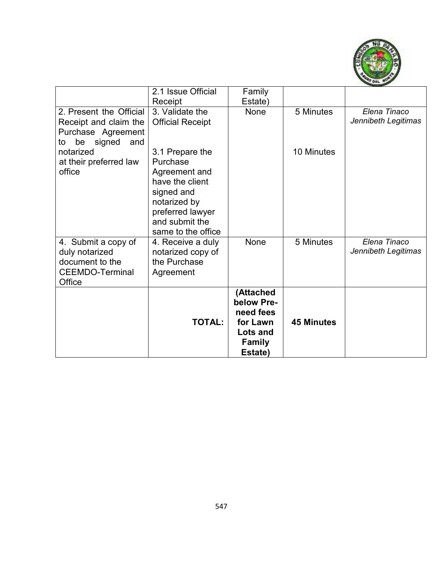

|                                                                                                  | 2.1 Issue Official<br>Receipt                                                                                                                             | Family<br>Estate)                                                                        |                   |                                     |
|--------------------------------------------------------------------------------------------------|-----------------------------------------------------------------------------------------------------------------------------------------------------------|------------------------------------------------------------------------------------------|-------------------|-------------------------------------|
| 2. Present the Official<br>Receipt and claim the<br>Purchase Agreement<br>be signed<br>and<br>to | 3. Validate the<br><b>Official Receipt</b>                                                                                                                | None                                                                                     | 5 Minutes         | Elena Tinaco<br>Jennibeth Legitimas |
| notarized<br>at their preferred law<br>office                                                    | 3.1 Prepare the<br>Purchase<br>Agreement and<br>have the client<br>signed and<br>notarized by<br>preferred lawyer<br>and submit the<br>same to the office |                                                                                          | 10 Minutes        |                                     |
| 4. Submit a copy of<br>duly notarized<br>document to the<br><b>CEEMDO-Terminal</b><br>Office     | 4. Receive a duly<br>notarized copy of<br>the Purchase<br>Agreement                                                                                       | None                                                                                     | 5 Minutes         | Elena Tinaco<br>Jennibeth Legitimas |
|                                                                                                  | <b>TOTAL:</b>                                                                                                                                             | (Attached<br>below Pre-<br>need fees<br>for Lawn<br>Lots and<br><b>Family</b><br>Estate) | <b>45 Minutes</b> |                                     |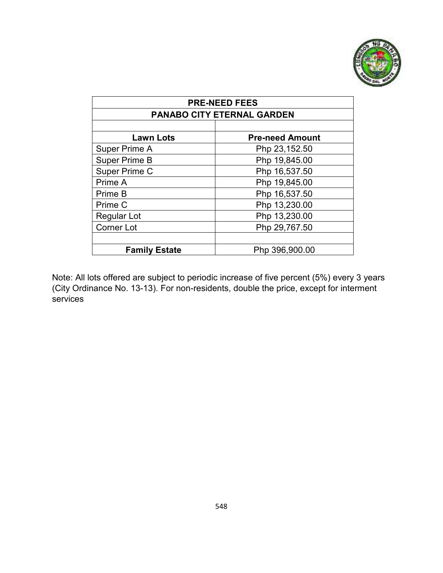

| <b>PRE-NEED FEES</b>              |                        |  |
|-----------------------------------|------------------------|--|
| <b>PANABO CITY ETERNAL GARDEN</b> |                        |  |
|                                   |                        |  |
| <b>Lawn Lots</b>                  | <b>Pre-need Amount</b> |  |
| Super Prime A                     | Php 23,152.50          |  |
| <b>Super Prime B</b>              | Php 19,845.00          |  |
| Super Prime C                     | Php 16,537.50          |  |
| Prime A                           | Php 19,845.00          |  |
| Prime B                           | Php 16,537.50          |  |
| Prime C                           | Php 13,230.00          |  |
| <b>Regular Lot</b>                | Php 13,230.00          |  |
| <b>Corner Lot</b>                 | Php 29,767.50          |  |
|                                   |                        |  |
| <b>Family Estate</b>              | Php 396,900.00         |  |

Note: All lots offered are subject to periodic increase of five percent (5%) every 3 years (City Ordinance No. 13-13). For non-residents, double the price, except for interment services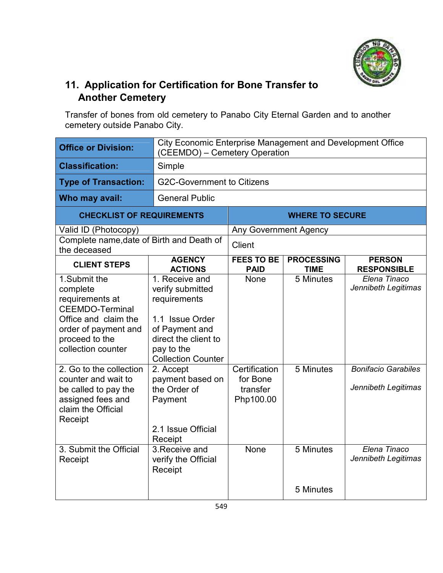

## **11. Application for Certification for Bone Transfer to Another Cemetery**

Transfer of bones from old cemetery to Panabo City Eternal Garden and to another cemetery outside Panabo City.

| <b>Office or Division:</b>                                                                                                                                    | City Economic Enterprise Management and Development Office<br>(CEEMDO) - Cemetery Operation                                                                |                                                    |                                  |                                                   |  |
|---------------------------------------------------------------------------------------------------------------------------------------------------------------|------------------------------------------------------------------------------------------------------------------------------------------------------------|----------------------------------------------------|----------------------------------|---------------------------------------------------|--|
| <b>Classification:</b>                                                                                                                                        | Simple                                                                                                                                                     |                                                    |                                  |                                                   |  |
| <b>Type of Transaction:</b>                                                                                                                                   | <b>G2C-Government to Citizens</b>                                                                                                                          |                                                    |                                  |                                                   |  |
| Who may avail:                                                                                                                                                | <b>General Public</b>                                                                                                                                      |                                                    |                                  |                                                   |  |
| <b>CHECKLIST OF REQUIREMENTS</b>                                                                                                                              |                                                                                                                                                            |                                                    | <b>WHERE TO SECURE</b>           |                                                   |  |
| Valid ID (Photocopy)                                                                                                                                          |                                                                                                                                                            | <b>Any Government Agency</b>                       |                                  |                                                   |  |
| Complete name, date of Birth and Death of<br>the deceased                                                                                                     |                                                                                                                                                            | Client                                             |                                  |                                                   |  |
| <b>CLIENT STEPS</b>                                                                                                                                           | <b>AGENCY</b><br><b>ACTIONS</b>                                                                                                                            | <b>FEES TO BE</b><br><b>PAID</b>                   | <b>PROCESSING</b><br><b>TIME</b> | <b>PERSON</b><br><b>RESPONSIBLE</b>               |  |
| 1.Submit the<br>complete<br>requirements at<br><b>CEEMDO-Terminal</b><br>Office and claim the<br>order of payment and<br>proceed to the<br>collection counter | 1. Receive and<br>verify submitted<br>requirements<br>1.1 Issue Order<br>of Payment and<br>direct the client to<br>pay to the<br><b>Collection Counter</b> | <b>None</b>                                        | 5 Minutes                        | Elena Tinaco<br>Jennibeth Legitimas               |  |
| 2. Go to the collection<br>counter and wait to<br>be called to pay the<br>assigned fees and<br>claim the Official<br>Receipt                                  | 2. Accept<br>payment based on<br>the Order of<br>Payment<br>2.1 Issue Official<br>Receipt                                                                  | Certification<br>for Bone<br>transfer<br>Php100.00 | 5 Minutes                        | <b>Bonifacio Garabiles</b><br>Jennibeth Legitimas |  |
| 3. Submit the Official<br>Receipt                                                                                                                             | 3. Receive and<br>verify the Official<br>Receipt                                                                                                           | <b>None</b>                                        | 5 Minutes<br>5 Minutes           | Elena Tinaco<br>Jennibeth Legitimas               |  |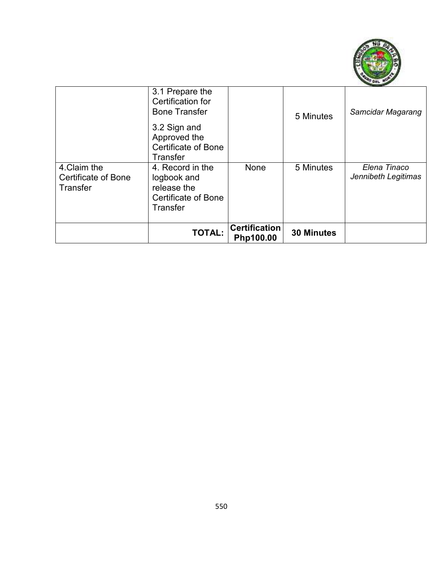

|                                                        | 3.1 Prepare the<br>Certification for<br><b>Bone Transfer</b><br>3.2 Sign and<br>Approved the<br><b>Certificate of Bone</b><br><b>Transfer</b> |                                   | 5 Minutes         | Samcidar Magarang                   |
|--------------------------------------------------------|-----------------------------------------------------------------------------------------------------------------------------------------------|-----------------------------------|-------------------|-------------------------------------|
| 4. Claim the<br><b>Certificate of Bone</b><br>Transfer | 4. Record in the<br>logbook and<br>release the<br><b>Certificate of Bone</b><br>Transfer                                                      | None                              | 5 Minutes         | Elena Tinaco<br>Jennibeth Legitimas |
|                                                        | <b>TOTAL:</b>                                                                                                                                 | <b>Certification</b><br>Php100.00 | <b>30 Minutes</b> |                                     |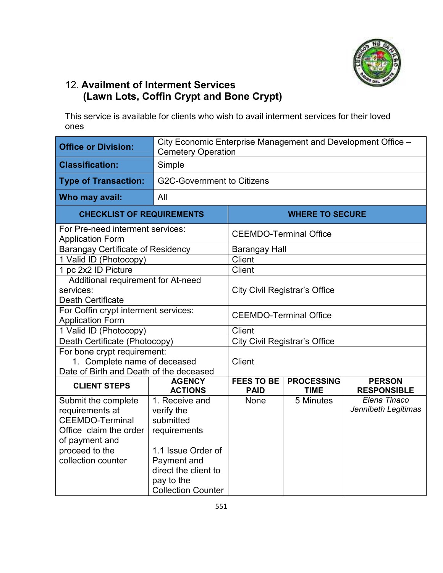

### 12. **Availment of Interment Services (Lawn Lots, Coffin Crypt and Bone Crypt)**

This service is available for clients who wish to avail interment services for their loved ones

| <b>Office or Division:</b>                                  | City Economic Enterprise Management and Development Office -<br><b>Cemetery Operation</b> |                                                       |                                      |                     |  |
|-------------------------------------------------------------|-------------------------------------------------------------------------------------------|-------------------------------------------------------|--------------------------------------|---------------------|--|
| <b>Classification:</b>                                      | Simple                                                                                    |                                                       |                                      |                     |  |
| <b>Type of Transaction:</b>                                 | <b>G2C-Government to Citizens</b>                                                         |                                                       |                                      |                     |  |
| Who may avail:                                              | All                                                                                       |                                                       |                                      |                     |  |
| <b>CHECKLIST OF REQUIREMENTS</b>                            |                                                                                           |                                                       | <b>WHERE TO SECURE</b>               |                     |  |
| For Pre-need interment services:<br><b>Application Form</b> |                                                                                           | <b>CEEMDO-Terminal Office</b>                         |                                      |                     |  |
| <b>Barangay Certificate of Residency</b>                    |                                                                                           | <b>Barangay Hall</b>                                  |                                      |                     |  |
| 1 Valid ID (Photocopy)                                      |                                                                                           | <b>Client</b>                                         |                                      |                     |  |
| 1 pc 2x2 ID Picture                                         |                                                                                           | <b>Client</b>                                         |                                      |                     |  |
| Additional requirement for At-need                          |                                                                                           |                                                       |                                      |                     |  |
| services:                                                   |                                                                                           |                                                       | <b>City Civil Registrar's Office</b> |                     |  |
| <b>Death Certificate</b>                                    |                                                                                           |                                                       |                                      |                     |  |
| For Coffin crypt interment services:                        |                                                                                           | <b>CEEMDO-Terminal Office</b>                         |                                      |                     |  |
|                                                             | <b>Application Form</b>                                                                   |                                                       |                                      |                     |  |
| 1 Valid ID (Photocopy)                                      |                                                                                           | <b>Client</b><br><b>City Civil Registrar's Office</b> |                                      |                     |  |
| Death Certificate (Photocopy)                               |                                                                                           |                                                       |                                      |                     |  |
| For bone crypt requirement:<br>1. Complete name of deceased |                                                                                           | Client                                                |                                      |                     |  |
| Date of Birth and Death of the deceased                     |                                                                                           |                                                       |                                      |                     |  |
|                                                             | <b>AGENCY</b>                                                                             | <b>FEES TO BE</b>                                     | <b>PROCESSING</b>                    | <b>PERSON</b>       |  |
| <b>CLIENT STEPS</b>                                         | <b>ACTIONS</b>                                                                            | <b>PAID</b>                                           | <b>TIME</b>                          | <b>RESPONSIBLE</b>  |  |
| Submit the complete                                         | 1. Receive and                                                                            | None                                                  | 5 Minutes                            | Elena Tinaco        |  |
| requirements at                                             | verify the                                                                                |                                                       |                                      | Jennibeth Legitimas |  |
| <b>CEEMDO-Terminal</b>                                      | submitted                                                                                 |                                                       |                                      |                     |  |
| Office claim the order                                      | requirements                                                                              |                                                       |                                      |                     |  |
| of payment and                                              |                                                                                           |                                                       |                                      |                     |  |
| proceed to the                                              | 1.1 Issue Order of                                                                        |                                                       |                                      |                     |  |
| collection counter                                          | Payment and                                                                               |                                                       |                                      |                     |  |
|                                                             | direct the client to                                                                      |                                                       |                                      |                     |  |
|                                                             | pay to the                                                                                |                                                       |                                      |                     |  |
|                                                             | <b>Collection Counter</b>                                                                 |                                                       |                                      |                     |  |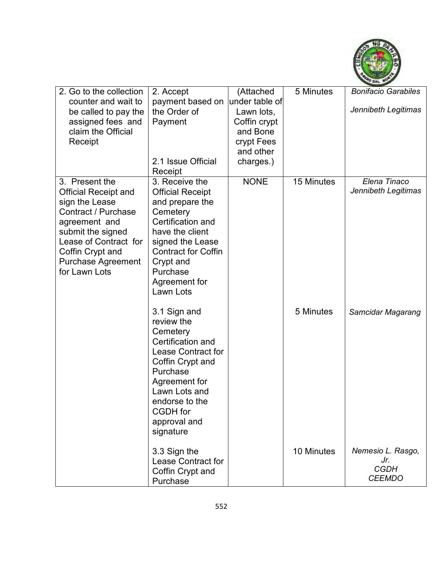

| 2. Go to the collection                                                                                                                                                                                                 | 2. Accept                                                                                                                                                                                                                 | (Attached                                                                                        | 5 Minutes  | <b>Bonifacio Garabiles</b>                               |
|-------------------------------------------------------------------------------------------------------------------------------------------------------------------------------------------------------------------------|---------------------------------------------------------------------------------------------------------------------------------------------------------------------------------------------------------------------------|--------------------------------------------------------------------------------------------------|------------|----------------------------------------------------------|
| counter and wait to<br>be called to pay the<br>assigned fees and<br>claim the Official<br>Receipt                                                                                                                       | payment based on<br>the Order of<br>Payment<br>2.1 Issue Official<br>Receipt                                                                                                                                              | under table of<br>Lawn lots,<br>Coffin crypt<br>and Bone<br>crypt Fees<br>and other<br>charges.) |            | Jennibeth Legitimas                                      |
| 3. Present the<br><b>Official Receipt and</b><br>sign the Lease<br>Contract / Purchase<br>agreement and<br>submit the signed<br>Lease of Contract for<br>Coffin Crypt and<br><b>Purchase Agreement</b><br>for Lawn Lots | 3. Receive the<br><b>Official Receipt</b><br>and prepare the<br>Cemetery<br>Certification and<br>have the client<br>signed the Lease<br><b>Contract for Coffin</b><br>Crypt and<br>Purchase<br>Agreement for<br>Lawn Lots | <b>NONE</b>                                                                                      | 15 Minutes | Elena Tinaco<br>Jennibeth Legitimas                      |
|                                                                                                                                                                                                                         | 3.1 Sign and<br>review the<br>Cemetery<br>Certification and<br>Lease Contract for<br>Coffin Crypt and<br>Purchase<br>Agreement for<br>Lawn Lots and<br>endorse to the<br><b>CGDH</b> for<br>approval and<br>signature     |                                                                                                  | 5 Minutes  | Samcidar Magarang                                        |
|                                                                                                                                                                                                                         | 3.3 Sign the<br><b>Lease Contract for</b><br>Coffin Crypt and<br>Purchase                                                                                                                                                 |                                                                                                  | 10 Minutes | Nemesio L. Rasgo,<br>Jr.<br><b>CGDH</b><br><b>CEEMDO</b> |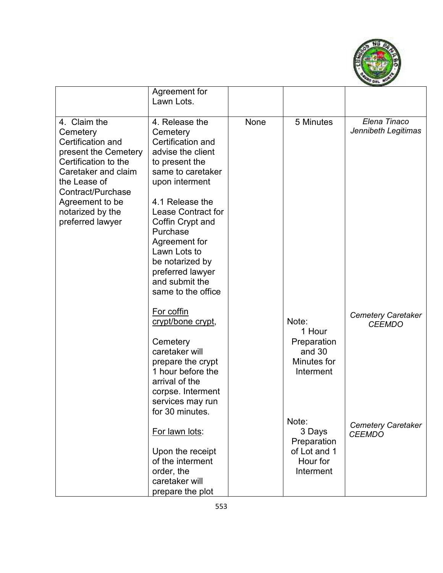

|                                                                                                                                                                                                                      | Agreement for<br>Lawn Lots.                                                                                                                                                                                                                                                                                                   |      |                                                                         |                                            |
|----------------------------------------------------------------------------------------------------------------------------------------------------------------------------------------------------------------------|-------------------------------------------------------------------------------------------------------------------------------------------------------------------------------------------------------------------------------------------------------------------------------------------------------------------------------|------|-------------------------------------------------------------------------|--------------------------------------------|
| 4. Claim the<br>Cemetery<br>Certification and<br>present the Cemetery<br>Certification to the<br>Caretaker and claim<br>the Lease of<br>Contract/Purchase<br>Agreement to be<br>notarized by the<br>preferred lawyer | 4. Release the<br>Cemetery<br>Certification and<br>advise the client<br>to present the<br>same to caretaker<br>upon interment<br>4.1 Release the<br><b>Lease Contract for</b><br>Coffin Crypt and<br>Purchase<br>Agreement for<br>Lawn Lots to<br>be notarized by<br>preferred lawyer<br>and submit the<br>same to the office | None | 5 Minutes                                                               | Elena Tinaco<br>Jennibeth Legitimas        |
|                                                                                                                                                                                                                      | For coffin<br>crypt/bone crypt,<br>Cemetery<br>caretaker will<br>prepare the crypt<br>1 hour before the<br>arrival of the<br>corpse. Interment<br>services may run<br>for 30 minutes.                                                                                                                                         |      | Note:<br>1 Hour<br>Preparation<br>and 30<br>Minutes for<br>Interment    | <b>Cemetery Caretaker</b><br><b>CEEMDO</b> |
|                                                                                                                                                                                                                      | For lawn lots:<br>Upon the receipt<br>of the interment<br>order, the<br>caretaker will<br>prepare the plot                                                                                                                                                                                                                    |      | Note:<br>3 Days<br>Preparation<br>of Lot and 1<br>Hour for<br>Interment | <b>Cemetery Caretaker</b><br><b>CEEMDO</b> |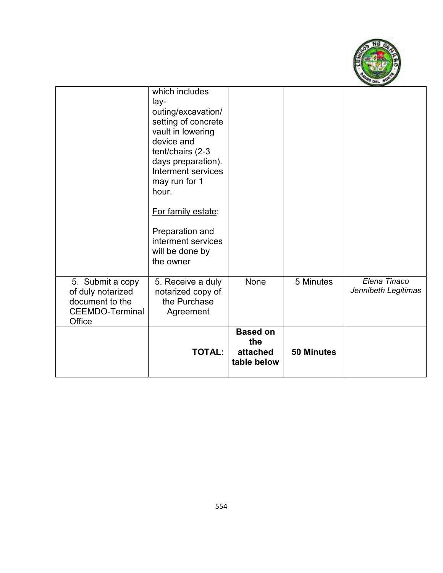

|                                                                                              | which includes<br>lay-<br>outing/excavation/<br>setting of concrete<br>vault in lowering<br>device and<br>tent/chairs (2-3<br>days preparation).<br>Interment services<br>may run for 1<br>hour.<br>For family estate:<br>Preparation and<br>interment services<br>will be done by<br>the owner |                                                   |                   |                                     |
|----------------------------------------------------------------------------------------------|-------------------------------------------------------------------------------------------------------------------------------------------------------------------------------------------------------------------------------------------------------------------------------------------------|---------------------------------------------------|-------------------|-------------------------------------|
| 5. Submit a copy<br>of duly notarized<br>document to the<br><b>CEEMDO-Terminal</b><br>Office | 5. Receive a duly<br>notarized copy of<br>the Purchase<br>Agreement                                                                                                                                                                                                                             | None                                              | 5 Minutes         | Elena Tinaco<br>Jennibeth Legitimas |
|                                                                                              | <b>TOTAL:</b>                                                                                                                                                                                                                                                                                   | <b>Based on</b><br>the<br>attached<br>table below | <b>50 Minutes</b> |                                     |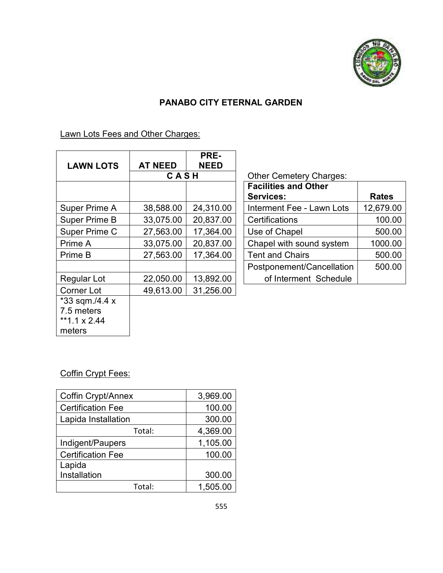

### **PANABO CITY ETERNAL GARDEN**

Lawn Lots Fees and Other Charges:

|                      |                | PRE-        |                                |              |
|----------------------|----------------|-------------|--------------------------------|--------------|
| <b>LAWN LOTS</b>     | <b>AT NEED</b> | <b>NEED</b> |                                |              |
|                      | CASH           |             | <b>Other Cemetery Charges:</b> |              |
|                      |                |             | <b>Facilities and Other</b>    |              |
|                      |                |             | <b>Services:</b>               | <b>Rates</b> |
| Super Prime A        | 38,588.00      | 24,310.00   | Interment Fee - Lawn Lots      | 12,679.00    |
| <b>Super Prime B</b> | 33,075.00      | 20,837.00   | Certifications                 | 100.00       |
| Super Prime C        | 27,563.00      | 17,364.00   | Use of Chapel                  | 500.00       |
| Prime A              | 33,075.00      | 20,837.00   | Chapel with sound system       | 1000.00      |
| Prime B              | 27,563.00      | 17,364.00   | <b>Tent and Chairs</b>         | 500.00       |
|                      |                |             | Postponement/Cancellation      | 500.00       |
| Regular Lot          | 22,050.00      | 13,892.00   | of Interment Schedule          |              |
| <b>Corner Lot</b>    | 49,613.00      | 31,256.00   |                                |              |
| *33 sqm./4.4 x       |                |             |                                |              |
| 7.5 meters           |                |             |                                |              |
| **1.1 $\times$ 2.44  |                |             |                                |              |
| meters               |                |             |                                |              |

| <b>Facilities and Other</b>      |              |
|----------------------------------|--------------|
| <b>Services:</b>                 | <b>Rates</b> |
| <b>Interment Fee - Lawn Lots</b> | 12,679.00    |
| <b>Certifications</b>            | 100.00       |
| Use of Chapel                    | 500.00       |
| Chapel with sound system         | 1000.00      |
| <b>Tent and Chairs</b>           | 500.00       |
| Postponement/Cancellation        | 500.00       |
| of Interment Schedule            |              |

#### Coffin Crypt Fees:

| Coffin Crypt/Annex       | 3,969.00 |
|--------------------------|----------|
| <b>Certification Fee</b> | 100.00   |
| Lapida Installation      | 300.00   |
| Total:                   | 4,369.00 |
| Indigent/Paupers         | 1,105.00 |
| <b>Certification Fee</b> | 100.00   |
| Lapida                   |          |
| Installation             | 300.00   |
| Total:                   | 1,505.00 |